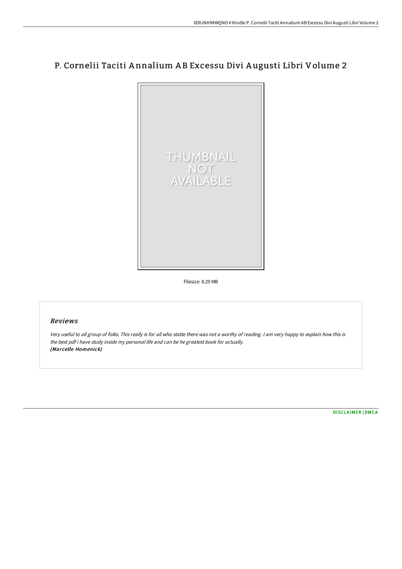## P. Cornelii Taciti A nnalium A B Excessu Divi A ugusti Libri Volume 2



Filesize: 8.29 MB

## Reviews

Very useful to all group of folks. This really is for all who statte there was not <sup>a</sup> worthy of reading. <sup>I</sup> am very happy to explain how this is the best pdf i have study inside my personal life and can be he greatest book for actually. (Marcelle Homenick)

[DISCLAIMER](http://www.bookdirs.com/disclaimer.html) | [DMCA](http://www.bookdirs.com/dmca.html)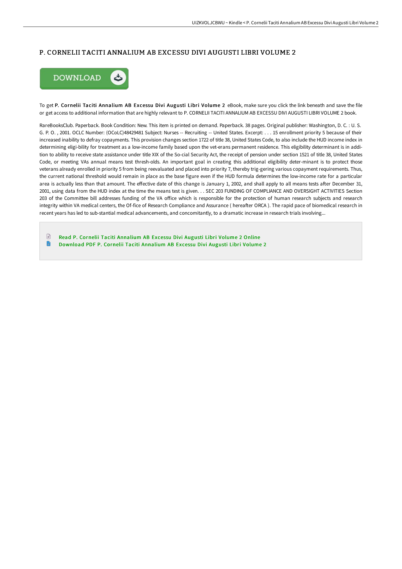## P. CORNELII TACITI ANNALIUM AB EXCESSU DIVI AUGUSTI LIBRI VOLUME 2



To get P. Cornelii Taciti Annalium AB Excessu Divi Augusti Libri Volume 2 eBook, make sure you click the link beneath and save the file or get access to additional information that are highly relevant to P. CORNELII TACITI ANNALIUM AB EXCESSU DIVI AUGUSTI LIBRI VOLUME 2 book.

RareBooksClub. Paperback. Book Condition: New. This item is printed on demand. Paperback. 38 pages. Original publisher: Washington, D. C. : U. S. G. P. O. , 2001. OCLC Number: (OCoLC)48429481 Subject: Nurses -- Recruiting -- United States. Excerpt: . . . 15 enrollment priority 5 because of their increased inability to defray copayments. This provision changes section 1722 of title 38, United States Code, to also include the HUD income index in determining eligi-bility for treatment as a low-income family based upon the vet-erans permanent residence. This eligibility determinant is in addition to ability to receive state assistance under title XIX of the So-cial Security Act, the receipt of pension under section 1521 of title 38, United States Code, or meeting VAs annual means test thresh-olds. An important goal in creating this additional eligibility deter-minant is to protect those veterans already enrolled in priority 5 from being reevaluated and placed into priority 7, thereby trig-gering various copayment requirements. Thus, the current national threshold would remain in place as the base figure even if the HUD formula determines the low-income rate for a particular area is actually less than that amount. The effective date of this change is January 1, 2002, and shall apply to all means tests after December 31, 2001, using data from the HUD index at the time the means test is given. . . SEC 203 FUNDING OF COMPLIANCE AND OVERSIGHT ACTIVITIES Section 203 of the Committee bill addresses funding of the VA office which is responsible for the protection of human research subjects and research integrity within VA medical centers, the Of-fice of Research Compliance and Assurance ( hereafter ORCA ). The rapid pace of biomedical research in recent years has led to sub-stantial medical advancements, and concomitantly, to a dramatic increase in research trials involving...

 $\Box$ Read P. Cornelii Taciti [Annalium](http://www.bookdirs.com/p-cornelii-taciti-annalium-ab-excessu-divi-augus.html) AB Excessu Divi Augusti Libri Volume 2 Online B [Download](http://www.bookdirs.com/p-cornelii-taciti-annalium-ab-excessu-divi-augus.html) PDF P. Cornelii Taciti Annalium AB Excessu Divi Augusti Libri Volume 2